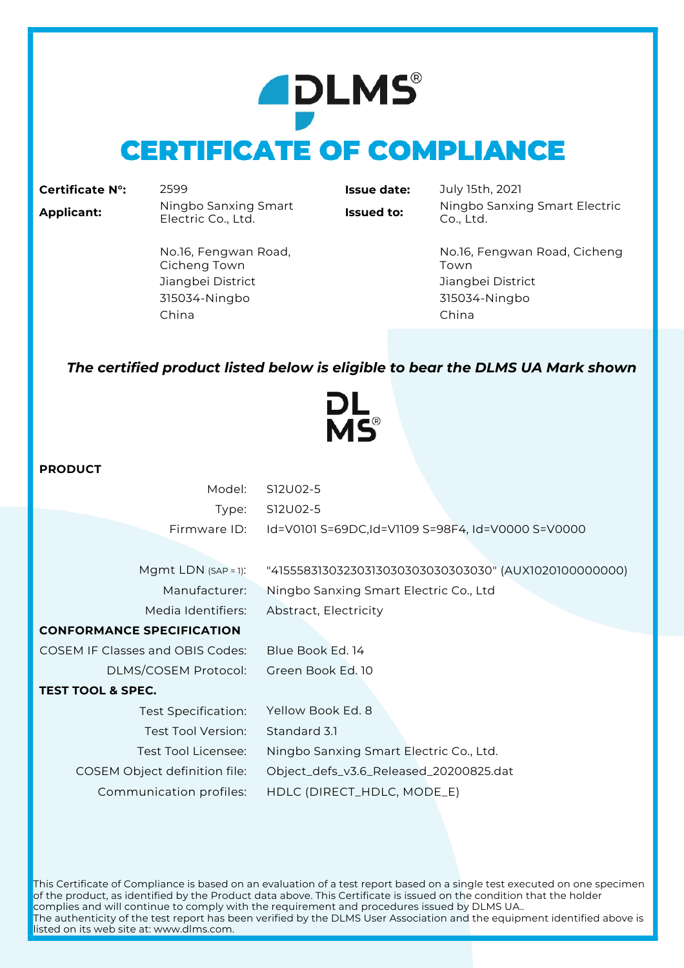# **ADLMS® CERTIFICATE OF COMPLIANCE**

|  |  | <b>Certificate N°:</b> |  |
|--|--|------------------------|--|
|--|--|------------------------|--|

**Certificate N°:** 2599 **Issue date:** July 15th, 2021 **Applicant:** Ningbo Sanxing Smart

**Issued to:** Ningbo Sanxing Smart Electric Co., Ltd.

No.16, Fengwan Road, Cicheng Town Jiangbei District Jiangbei District 315034-Ningbo 315034-Ningbo China China

No.16, Fengwan Road, Cicheng Town

### *The certified product listed below is eligible to bear the DLMS UA Mark shown*

IS®

### **PRODUCT**

| Model:                                  | S12U02-5                                              |
|-----------------------------------------|-------------------------------------------------------|
| Type:                                   | S12U02-5                                              |
| Firmware ID:                            | Id=V0101 S=69DC,Id=V1109 S=98F4, Id=V0000 S=V0000     |
|                                         |                                                       |
| Mgmt LDN $(SAP = 1)$ :                  | "41555831303230313030303030303030" (AUX1020100000000) |
| Manufacturer:                           | Ningbo Sanxing Smart Electric Co., Ltd                |
| Media Identifiers:                      | Abstract, Electricity                                 |
| <b>CONFORMANCE SPECIFICATION</b>        |                                                       |
| <b>COSEM IF Classes and OBIS Codes:</b> | Blue Book Ed. 14                                      |
| DLMS/COSEM Protocol:                    | Green Book Ed. 10                                     |
| <b>TEST TOOL &amp; SPEC.</b>            |                                                       |
| Test Specification:                     | Yellow Book Ed. 8                                     |
| Test Tool Version:                      | Standard 3.1                                          |
| Test Tool Licensee:                     | Ningbo Sanxing Smart Electric Co., Ltd.               |
| COSEM Object definition file:           | Object_defs_v3.6_Released_20200825.dat                |
| Communication profiles:                 | HDLC (DIRECT_HDLC, MODE_E)                            |

This Certificate of Compliance is based on an evaluation of a test report based on a single test executed on one specimen of the product, as identified by the Product data above. This Certificate is issued on the condition that the holder complies and will continue to comply with the requirement and procedures issued by DLMS UA.. The authenticity of the test report has been verified by the DLMS User Association and the equipment identified above is listed on its web site at: www.dlms.com.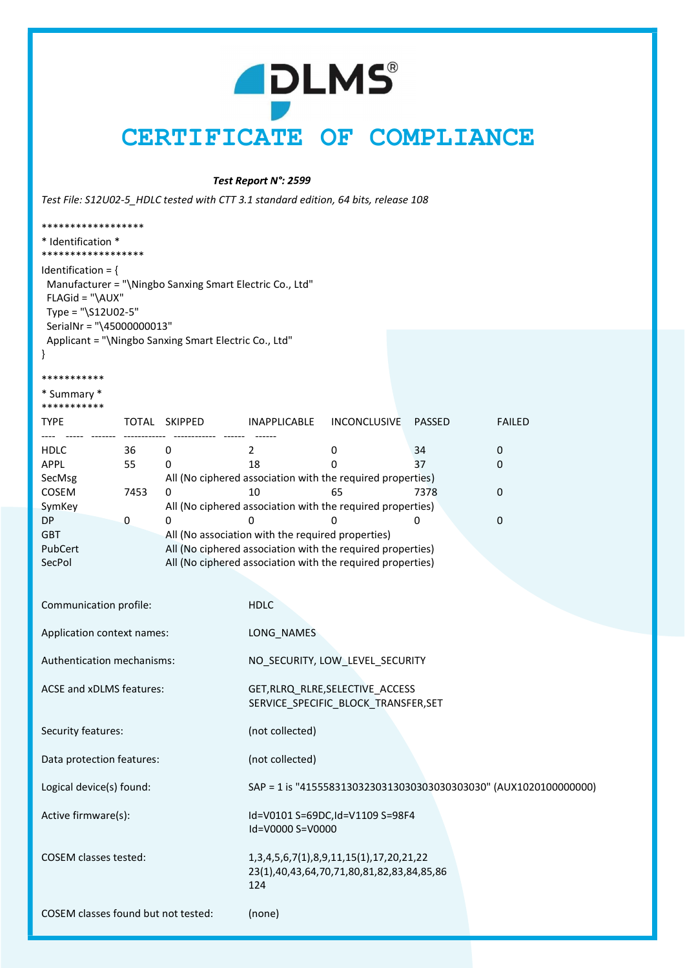## **ADLMS®** CERTIFICATE OF COMPLIANCE

#### Test Report N°: 2599

Test File: S12U02-5\_HDLC tested with CTT 3.1 standard edition, 64 bits, release 108

| ******************                                                                          |      |                                                                         |                                                                    |                                                            |               |               |  |  |
|---------------------------------------------------------------------------------------------|------|-------------------------------------------------------------------------|--------------------------------------------------------------------|------------------------------------------------------------|---------------|---------------|--|--|
| * Identification *<br>******************                                                    |      |                                                                         |                                                                    |                                                            |               |               |  |  |
| Identification = $\{$<br>FLAGid = "\AUX"<br>Type = "\S12U02-5"<br>SerialNr = "\45000000013" |      | Manufacturer = "\Ningbo Sanxing Smart Electric Co., Ltd"                |                                                                    |                                                            |               |               |  |  |
|                                                                                             |      | Applicant = "\Ningbo Sanxing Smart Electric Co., Ltd"                   |                                                                    |                                                            |               |               |  |  |
| ***********                                                                                 |      |                                                                         |                                                                    |                                                            |               |               |  |  |
| * Summary *<br>***********                                                                  |      |                                                                         |                                                                    |                                                            |               |               |  |  |
| <b>TYPE</b>                                                                                 |      | TOTAL SKIPPED                                                           | INAPPLICABLE                                                       | <b>INCONCLUSIVE</b>                                        | <b>PASSED</b> | <b>FAILED</b> |  |  |
| <b>HDLC</b>                                                                                 | 36   | 0                                                                       | 2                                                                  | 0                                                          | 34            | 0             |  |  |
| <b>APPL</b>                                                                                 | 55   | 0                                                                       | 18                                                                 | 0                                                          | 37            | 0             |  |  |
| SecMsg                                                                                      |      |                                                                         | All (No ciphered association with the required properties)         |                                                            |               |               |  |  |
| COSEM                                                                                       | 7453 | 0                                                                       | 10                                                                 | 65                                                         | 7378          | 0             |  |  |
| SymKey                                                                                      |      |                                                                         |                                                                    | All (No ciphered association with the required properties) |               |               |  |  |
| <b>DP</b>                                                                                   | 0    | 0                                                                       | 0                                                                  | 0                                                          | 0             | $\mathbf 0$   |  |  |
| <b>GBT</b>                                                                                  |      |                                                                         | All (No association with the required properties)                  |                                                            |               |               |  |  |
| PubCert                                                                                     |      |                                                                         |                                                                    | All (No ciphered association with the required properties) |               |               |  |  |
| SecPol                                                                                      |      |                                                                         |                                                                    | All (No ciphered association with the required properties) |               |               |  |  |
|                                                                                             |      |                                                                         |                                                                    |                                                            |               |               |  |  |
| Communication profile:                                                                      |      |                                                                         | <b>HDLC</b>                                                        |                                                            |               |               |  |  |
|                                                                                             |      |                                                                         |                                                                    |                                                            |               |               |  |  |
| Application context names:                                                                  |      |                                                                         | LONG_NAMES                                                         |                                                            |               |               |  |  |
|                                                                                             |      |                                                                         |                                                                    |                                                            |               |               |  |  |
| Authentication mechanisms:                                                                  |      | NO_SECURITY, LOW_LEVEL_SECURITY                                         |                                                                    |                                                            |               |               |  |  |
| ACSE and xDLMS features:                                                                    |      | GET, RLRQ_RLRE, SELECTIVE_ACCESS<br>SERVICE_SPECIFIC_BLOCK_TRANSFER,SET |                                                                    |                                                            |               |               |  |  |
| Security features:                                                                          |      |                                                                         | (not collected)                                                    |                                                            |               |               |  |  |
| Data protection features:                                                                   |      |                                                                         | (not collected)                                                    |                                                            |               |               |  |  |
| Logical device(s) found:                                                                    |      |                                                                         | SAP = 1 is "4155583130323031303030303030303030" (AUX1020100000000) |                                                            |               |               |  |  |
| Active firmware(s):                                                                         |      |                                                                         |                                                                    | Id=V0101 S=69DC,Id=V1109 S=98F4                            |               |               |  |  |

COSEM classes tested: 1,3,4,5,6,7(1),8,9,11,15(1),17,20,21,22 23(1),40,43,64,70,71,80,81,82,83,84,85,86 **124 124** 

Id=V0000 S=V0000

COSEM classes found but not tested: (none)